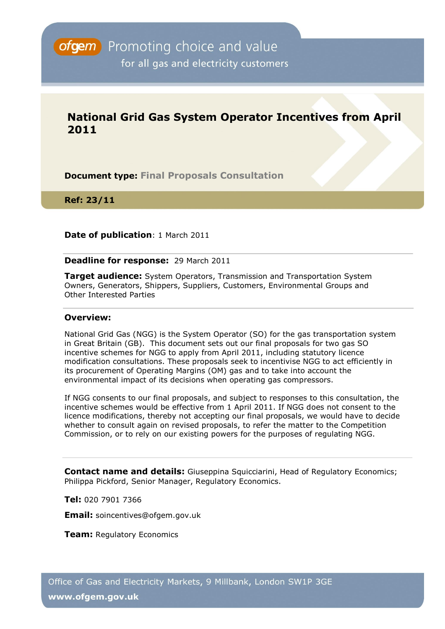# **National Grid Gas System Operator Incentives from April 2011**

**Document type: Final Proposals Consultation**

**Ref: 23/11** 

### **Date of publication**: 1 March 2011

### **Deadline for response:** 29 March 2011

**Target audience:** System Operators, Transmission and Transportation System Owners, Generators, Shippers, Suppliers, Customers, Environmental Groups and Other Interested Parties

### **Overview:**

National Grid Gas (NGG) is the System Operator (SO) for the gas transportation system in Great Britain (GB). This document sets out our final proposals for two gas SO incentive schemes for NGG to apply from April 2011, including statutory licence modification consultations. These proposals seek to incentivise NGG to act efficiently in its procurement of Operating Margins (OM) gas and to take into account the environmental impact of its decisions when operating gas compressors.

If NGG consents to our final proposals, and subject to responses to this consultation, the incentive schemes would be effective from 1 April 2011. If NGG does not consent to the licence modifications, thereby not accepting our final proposals, we would have to decide whether to consult again on revised proposals, to refer the matter to the Competition Commission, or to rely on our existing powers for the purposes of regulating NGG.

**Contact name and details:** Giuseppina Squicciarini, Head of Regulatory Economics: Philippa Pickford, Senior Manager, Regulatory Economics.

**Tel:** 020 7901 7366

**Email:** soincentives@ofgem.gov.uk

**Team:** Regulatory Economics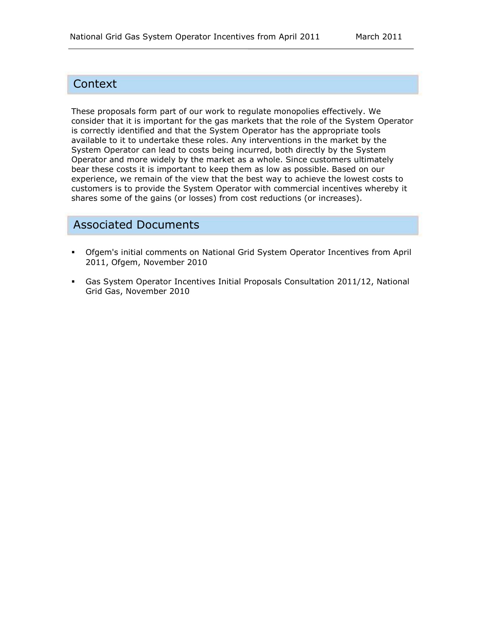# **Context**

These proposals form part of our work to regulate monopolies effectively. We consider that it is important for the gas markets that the role of the System Operator is correctly identified and that the System Operator has the appropriate tools available to it to undertake these roles. Any interventions in the market by the System Operator can lead to costs being incurred, both directly by the System Operator and more widely by the market as a whole. Since customers ultimately bear these costs it is important to keep them as low as possible. Based on our experience, we remain of the view that the best way to achieve the lowest costs to customers is to provide the System Operator with commercial incentives whereby it shares some of the gains (or losses) from cost reductions (or increases).

# Associated Documents

- [Ofgem's initial comments on National Grid System Operator Incentives from April](http://www.ofgem.gov.uk/Markets/WhlMkts/EffSystemOps/SystOpIncent/Documents1/Open%20letter%20re%20Ofgems%20view%20on%20NGETs%20proposed%20scheme%202011.pdf)  [2011,](http://www.ofgem.gov.uk/Markets/WhlMkts/EffSystemOps/SystOpIncent/Documents1/Open%20letter%20re%20Ofgems%20view%20on%20NGETs%20proposed%20scheme%202011.pdf) Ofgem, November 2010
- Gas System Operator Incentives Initial Proposals Consultation 2011/12, National Grid Gas, November 2010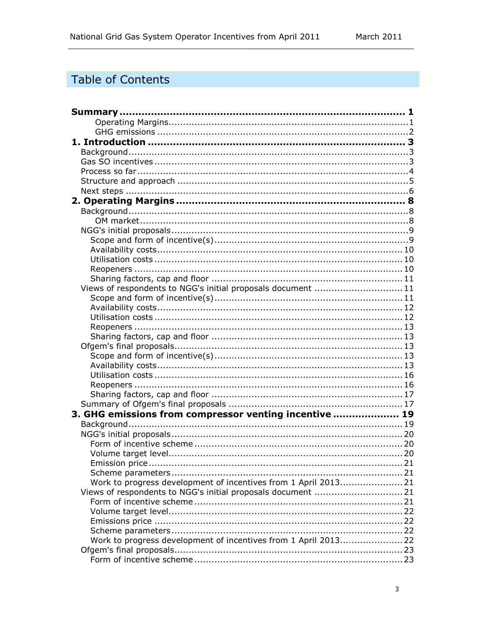# Table of Contents

| Views of respondents to NGG's initial proposals document  11    |  |
|-----------------------------------------------------------------|--|
|                                                                 |  |
|                                                                 |  |
|                                                                 |  |
|                                                                 |  |
|                                                                 |  |
|                                                                 |  |
|                                                                 |  |
|                                                                 |  |
|                                                                 |  |
|                                                                 |  |
|                                                                 |  |
|                                                                 |  |
| 3. GHG emissions from compressor venting incentive  19          |  |
|                                                                 |  |
|                                                                 |  |
|                                                                 |  |
|                                                                 |  |
| Emission price.                                                 |  |
|                                                                 |  |
| Work to progress development of incentives from 1 April 2013 21 |  |
| Views of respondents to NGG's initial proposals document  21    |  |
|                                                                 |  |
|                                                                 |  |
|                                                                 |  |
|                                                                 |  |
| Work to progress development of incentives from 1 April 2013 22 |  |
|                                                                 |  |
|                                                                 |  |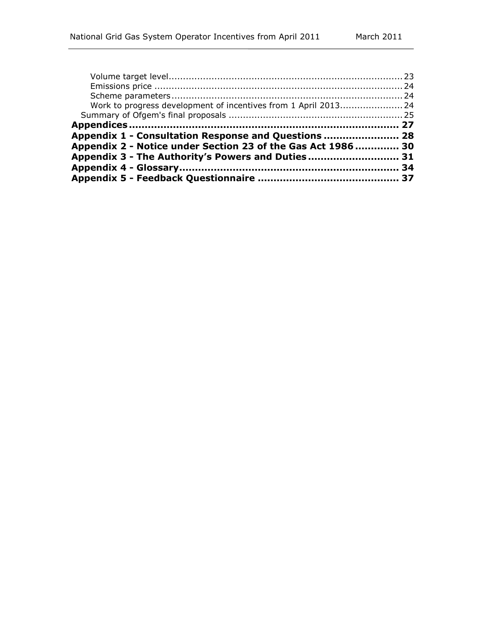| Work to progress development of incentives from 1 April 2013 24 |  |
|-----------------------------------------------------------------|--|
|                                                                 |  |
|                                                                 |  |
|                                                                 |  |
|                                                                 |  |
| Appendix 1 - Consultation Response and Questions  28            |  |
| Appendix 2 - Notice under Section 23 of the Gas Act 1986  30    |  |
| Appendix 3 - The Authority's Powers and Duties 31               |  |
|                                                                 |  |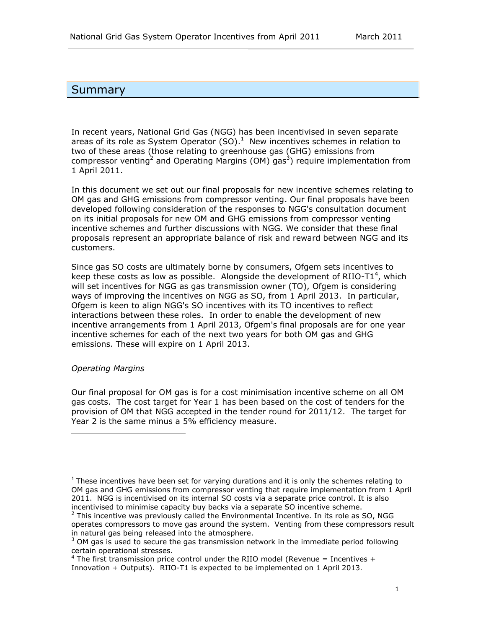### <span id="page-4-0"></span>**Summary**

In recent years, National Grid Gas (NGG) has been incentivised in seven separate areas of its role as System Operator (SO). $<sup>1</sup>$  New incentives schemes in relation to</sup> two of these areas (those relating to greenhouse gas (GHG) emissions from compressor venting<sup>2</sup> and Operating Margins (OM) gas<sup>3</sup>) require implementation from 1 April 2011.

In this document we set out our final proposals for new incentive schemes relating to OM gas and GHG emissions from compressor venting. Our final proposals have been developed following consideration of the responses to NGG's consultation document on its initial proposals for new OM and GHG emissions from compressor venting incentive schemes and further discussions with NGG. We consider that these final proposals represent an appropriate balance of risk and reward between NGG and its customers.

Since gas SO costs are ultimately borne by consumers, Ofgem sets incentives to keep these costs as low as possible. Alongside the development of RIIO-T1<sup>4</sup>, which will set incentives for NGG as gas transmission owner (TO), Ofgem is considering ways of improving the incentives on NGG as SO, from 1 April 2013. In particular, Ofgem is keen to align NGG's SO incentives with its TO incentives to reflect interactions between these roles. In order to enable the development of new incentive arrangements from 1 April 2013, Ofgem's final proposals are for one year incentive schemes for each of the next two years for both OM gas and GHG emissions. These will expire on 1 April 2013.

### <span id="page-4-1"></span>*Operating Margins*

l

Our final proposal for OM gas is for a cost minimisation incentive scheme on all OM gas costs. The cost target for Year 1 has been based on the cost of tenders for the provision of OM that NGG accepted in the tender round for 2011/12. The target for Year 2 is the same minus a 5% efficiency measure.

 $<sup>1</sup>$  These incentives have been set for varying durations and it is only the schemes relating to</sup> OM gas and GHG emissions from compressor venting that require implementation from 1 April 2011. NGG is incentivised on its internal SO costs via a separate price control. It is also incentivised to minimise capacity buy backs via a separate SO incentive scheme.

<sup>&</sup>lt;sup>2</sup> This incentive was previously called the Environmental Incentive. In its role as SO, NGG operates compressors to move gas around the system. Venting from these compressors result in natural gas being released into the atmosphere.

 $3$  OM gas is used to secure the gas transmission network in the immediate period following certain operational stresses.

 $4$  The first transmission price control under the RIIO model (Revenue = Incentives + Innovation + Outputs). RIIO-T1 is expected to be implemented on 1 April 2013.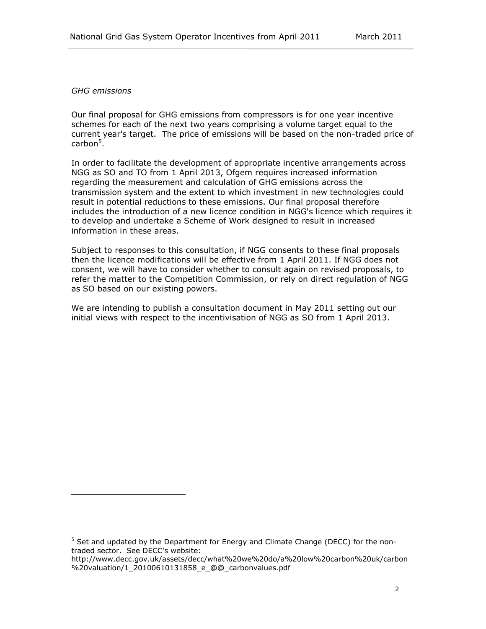#### <span id="page-5-0"></span>*GHG emissions*

l

Our final proposal for GHG emissions from compressors is for one year incentive schemes for each of the next two years comprising a volume target equal to the current year's target. The price of emissions will be based on the non-traded price of carbon<sup>5</sup>.

In order to facilitate the development of appropriate incentive arrangements across NGG as SO and TO from 1 April 2013, Ofgem requires increased information regarding the measurement and calculation of GHG emissions across the transmission system and the extent to which investment in new technologies could result in potential reductions to these emissions. Our final proposal therefore includes the introduction of a new licence condition in NGG's licence which requires it to develop and undertake a Scheme of Work designed to result in increased information in these areas.

Subject to responses to this consultation, if NGG consents to these final proposals then the licence modifications will be effective from 1 April 2011. If NGG does not consent, we will have to consider whether to consult again on revised proposals, to refer the matter to the Competition Commission, or rely on direct regulation of NGG as SO based on our existing powers.

We are intending to publish a consultation document in May 2011 setting out our initial views with respect to the incentivisation of NGG as SO from 1 April 2013.

<sup>5</sup> Set and updated by the Department for Energy and Climate Change (DECC) for the nontraded sector. See DECC's website:

[http://www.decc.gov.uk/assets/decc/what%20we%20do/a%20low%20carbon%20uk/carbon](http://www.decc.gov.uk/assets/decc/what%20we%20do/a%20low%20carbon%20uk/carbon%20valuation/1_20100610131858_e_@@_carbonvalues.pdf) [%20valuation/1\\_20100610131858\\_e\\_@@\\_carbonvalues.pdf](http://www.decc.gov.uk/assets/decc/what%20we%20do/a%20low%20carbon%20uk/carbon%20valuation/1_20100610131858_e_@@_carbonvalues.pdf)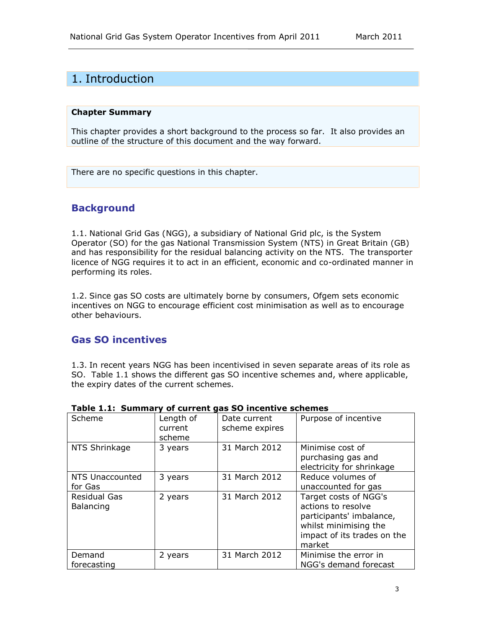## <span id="page-6-0"></span>1. Introduction

#### **Chapter Summary**

This chapter provides a short background to the process so far. It also provides an outline of the structure of this document and the way forward.

There are no specific questions in this chapter.

### <span id="page-6-1"></span>**Background**

1.1. National Grid Gas (NGG), a subsidiary of National Grid plc, is the System Operator (SO) for the gas National Transmission System (NTS) in Great Britain (GB) and has responsibility for the residual balancing activity on the NTS. The transporter licence of NGG requires it to act in an efficient, economic and co-ordinated manner in performing its roles.

1.2. Since gas SO costs are ultimately borne by consumers, Ofgem sets economic incentives on NGG to encourage efficient cost minimisation as well as to encourage other behaviours.

### <span id="page-6-2"></span>**Gas SO incentives**

1.3. In recent years NGG has been incentivised in seven separate areas of its role as SO. Table 1.1 shows the different gas SO incentive schemes and, where applicable, the expiry dates of the current schemes.

| Scheme                           | Length of<br>current<br>scheme | Date current<br>scheme expires | Purpose of incentive                                                                                                                      |
|----------------------------------|--------------------------------|--------------------------------|-------------------------------------------------------------------------------------------------------------------------------------------|
| NTS Shrinkage                    | 3 years                        | 31 March 2012                  | Minimise cost of<br>purchasing gas and<br>electricity for shrinkage                                                                       |
| NTS Unaccounted<br>for Gas       | 3 years                        | 31 March 2012                  | Reduce volumes of<br>unaccounted for gas                                                                                                  |
| <b>Residual Gas</b><br>Balancing | 2 years                        | 31 March 2012                  | Target costs of NGG's<br>actions to resolve<br>participants' imbalance,<br>whilst minimising the<br>impact of its trades on the<br>market |
| Demand<br>forecasting            | 2 years                        | 31 March 2012                  | Minimise the error in<br>NGG's demand forecast                                                                                            |

### **Table 1.1: Summary of current gas SO incentive schemes**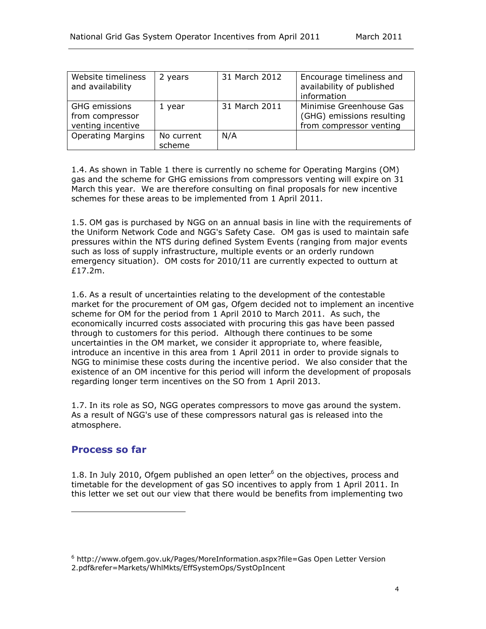| Website timeliness<br>and availability                | 2 years              | 31 March 2012 | Encourage timeliness and<br>availability of published<br>information            |
|-------------------------------------------------------|----------------------|---------------|---------------------------------------------------------------------------------|
| GHG emissions<br>from compressor<br>venting incentive | 1 year               | 31 March 2011 | Minimise Greenhouse Gas<br>(GHG) emissions resulting<br>from compressor venting |
| <b>Operating Margins</b>                              | No current<br>scheme | N/A           |                                                                                 |

1.4. As shown in Table 1 there is currently no scheme for Operating Margins (OM) gas and the scheme for GHG emissions from compressors venting will expire on 31 March this year. We are therefore consulting on final proposals for new incentive schemes for these areas to be implemented from 1 April 2011.

1.5. OM gas is purchased by NGG on an annual basis in line with the requirements of the Uniform Network Code and NGG's Safety Case. OM gas is used to maintain safe pressures within the NTS during defined System Events (ranging from major events such as loss of supply infrastructure, multiple events or an orderly rundown emergency situation). OM costs for 2010/11 are currently expected to outturn at £17.2m.

1.6. As a result of uncertainties relating to the development of the contestable market for the procurement of OM gas, Ofgem decided not to implement an incentive scheme for OM for the period from 1 April 2010 to March 2011. As such, the economically incurred costs associated with procuring this gas have been passed through to customers for this period. Although there continues to be some uncertainties in the OM market, we consider it appropriate to, where feasible, introduce an incentive in this area from 1 April 2011 in order to provide signals to NGG to minimise these costs during the incentive period. We also consider that the existence of an OM incentive for this period will inform the development of proposals regarding longer term incentives on the SO from 1 April 2013.

1.7. In its role as SO, NGG operates compressors to move gas around the system. As a result of NGG's use of these compressors natural gas is released into the atmosphere.

### <span id="page-7-0"></span>**Process so far**

ł

1.8. In July 2010, Ofgem published an open letter $6$  on the objectives, process and timetable for the development of gas SO incentives to apply from 1 April 2011. In this letter we set out our view that there would be benefits from implementing two

<sup>6</sup> http://www.ofgem.gov.uk/Pages/MoreInformation.aspx?file=Gas Open Letter Version 2.pdf&refer=Markets/WhlMkts/EffSystemOps/SystOpIncent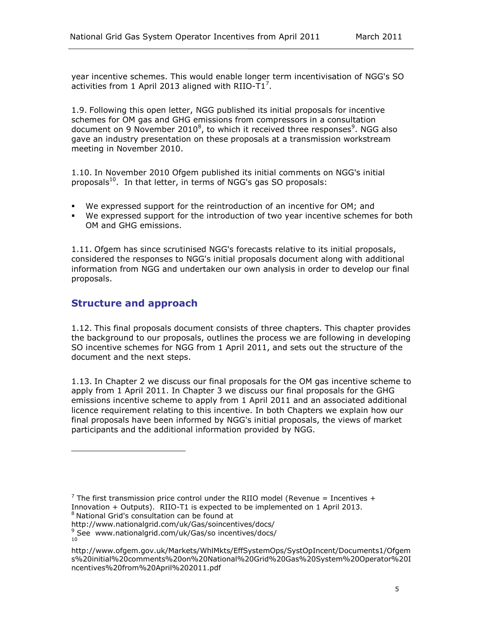year incentive schemes. This would enable longer term incentivisation of NGG's SO activities from 1 April 2013 aligned with RIIO- $\overline{T}1^7$ .

1.9. Following this open letter, NGG published its initial proposals for incentive schemes for OM gas and GHG emissions from compressors in a consultation document on 9 November 2010 $^8$ , to which it received three responses $^9$ . NGG also gave an industry presentation on these proposals at a transmission workstream meeting in November 2010.

1.10. In November 2010 Ofgem published its initial comments on NGG's initial proposals<sup>10</sup>. In that letter, in terms of NGG's gas SO proposals:

- We expressed support for the reintroduction of an incentive for OM; and
- We expressed support for the introduction of two year incentive schemes for both OM and GHG emissions.

1.11. Ofgem has since scrutinised NGG's forecasts relative to its initial proposals, considered the responses to NGG's initial proposals document along with additional information from NGG and undertaken our own analysis in order to develop our final proposals.

### <span id="page-8-0"></span>**Structure and approach**

j.

1.12. This final proposals document consists of three chapters. This chapter provides the background to our proposals, outlines the process we are following in developing SO incentive schemes for NGG from 1 April 2011, and sets out the structure of the document and the next steps.

1.13. In Chapter 2 we discuss our final proposals for the OM gas incentive scheme to apply from 1 April 2011. In Chapter 3 we discuss our final proposals for the GHG emissions incentive scheme to apply from 1 April 2011 and an associated additional licence requirement relating to this incentive. In both Chapters we explain how our final proposals have been informed by NGG's initial proposals, the views of market participants and the additional information provided by NGG.

<sup>&</sup>lt;sup>7</sup> The first transmission price control under the RIIO model (Revenue = Incentives + Innovation + Outputs). RIIO-T1 is expected to be implemented on 1 April 2013.

<sup>8</sup> National Grid's consultation can be found at

http://www.nationalgrid.com/uk/Gas/soincentives/docs/

<sup>9</sup> See www.nationalgrid.com/uk/Gas/so incentives/docs/ 10

http://www.ofgem.gov.uk/Markets/WhlMkts/EffSystemOps/SystOpIncent/Documents1/Ofgem s%20initial%20comments%20on%20National%20Grid%20Gas%20System%20Operator%20I ncentives%20from%20April%202011.pdf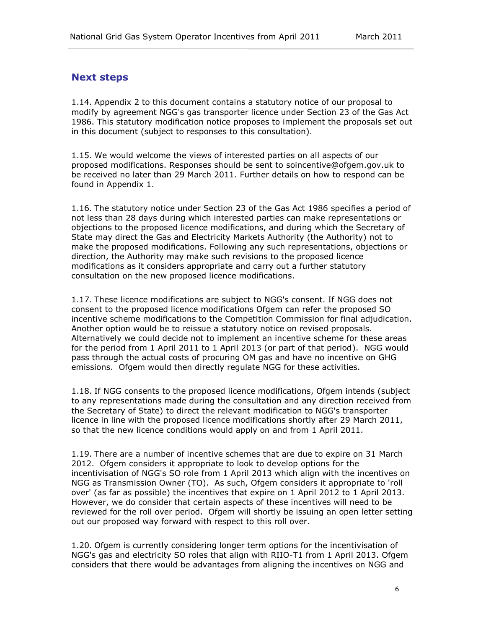### <span id="page-9-0"></span>**Next steps**

1.14. Appendix 2 to this document contains a statutory notice of our proposal to modify by agreement NGG's gas transporter licence under Section 23 of the Gas Act 1986. This statutory modification notice proposes to implement the proposals set out in this document (subject to responses to this consultation).

1.15. We would welcome the views of interested parties on all aspects of our proposed modifications. Responses should be sent to soincentive@ofgem.gov.uk to be received no later than 29 March 2011. Further details on how to respond can be found in Appendix 1.

1.16. The statutory notice under Section 23 of the Gas Act 1986 specifies a period of not less than 28 days during which interested parties can make representations or objections to the proposed licence modifications, and during which the Secretary of State may direct the Gas and Electricity Markets Authority (the Authority) not to make the proposed modifications. Following any such representations, objections or direction, the Authority may make such revisions to the proposed licence modifications as it considers appropriate and carry out a further statutory consultation on the new proposed licence modifications.

1.17. These licence modifications are subject to NGG's consent. If NGG does not consent to the proposed licence modifications Ofgem can refer the proposed SO incentive scheme modifications to the Competition Commission for final adjudication. Another option would be to reissue a statutory notice on revised proposals. Alternatively we could decide not to implement an incentive scheme for these areas for the period from 1 April 2011 to 1 April 2013 (or part of that period). NGG would pass through the actual costs of procuring OM gas and have no incentive on GHG emissions. Ofgem would then directly regulate NGG for these activities.

1.18. If NGG consents to the proposed licence modifications, Ofgem intends (subject to any representations made during the consultation and any direction received from the Secretary of State) to direct the relevant modification to NGG's transporter licence in line with the proposed licence modifications shortly after 29 March 2011, so that the new licence conditions would apply on and from 1 April 2011.

1.19. There are a number of incentive schemes that are due to expire on 31 March 2012. Ofgem considers it appropriate to look to develop options for the incentivisation of NGG's SO role from 1 April 2013 which align with the incentives on NGG as Transmission Owner (TO). As such, Ofgem considers it appropriate to 'roll over' (as far as possible) the incentives that expire on 1 April 2012 to 1 April 2013. However, we do consider that certain aspects of these incentives will need to be reviewed for the roll over period. Ofgem will shortly be issuing an open letter setting out our proposed way forward with respect to this roll over.

1.20. Ofgem is currently considering longer term options for the incentivisation of NGG's gas and electricity SO roles that align with RIIO-T1 from 1 April 2013. Ofgem considers that there would be advantages from aligning the incentives on NGG and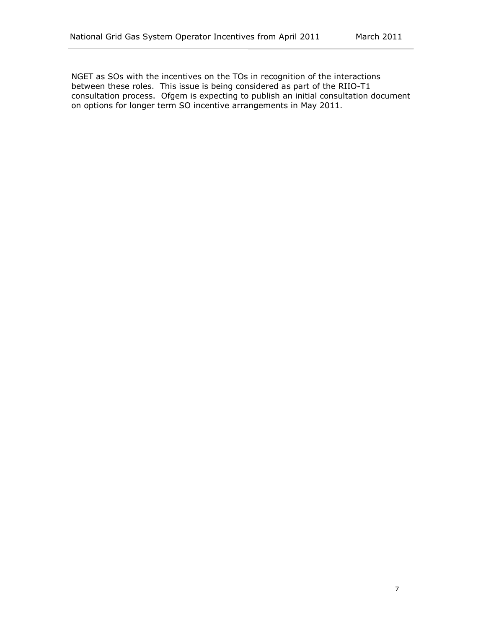NGET as SOs with the incentives on the TOs in recognition of the interactions between these roles. This issue is being considered as part of the RIIO-T1 consultation process. Ofgem is expecting to publish an initial consultation document on options for longer term SO incentive arrangements in May 2011.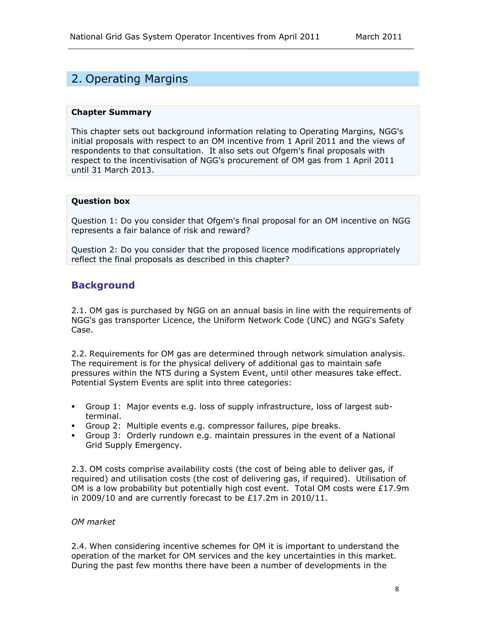# <span id="page-11-0"></span>2. Operating Margins

#### **Chapter Summary**

This chapter sets out background information relating to Operating Margins, NGG's initial proposals with respect to an OM incentive from 1 April 2011 and the views of respondents to that consultation. It also sets out Ofgem's final proposals with respect to the incentivisation of NGG's procurement of OM gas from 1 April 2011 until 31 March 2013.

### **Question box**

Question 1: Do you consider that Ofgem's final proposal for an OM incentive on NGG represents a fair balance of risk and reward?

Question 2: Do you consider that the proposed licence modifications appropriately reflect the final proposals as described in this chapter?

### <span id="page-11-1"></span>**Background**

2.1. OM gas is purchased by NGG on an annual basis in line with the requirements of NGG's gas transporter Licence, the Uniform Network Code (UNC) and NGG's Safety Case.

2.2. Requirements for OM gas are determined through network simulation analysis. The requirement is for the physical delivery of additional gas to maintain safe pressures within the NTS during a System Event, until other measures take effect. Potential System Events are split into three categories:

- Group 1: Major events e.g. loss of supply infrastructure, loss of largest subterminal.
- Group 2: Multiple events e.g. compressor failures, pipe breaks.
- Group 3: Orderly rundown e.g. maintain pressures in the event of a National Grid Supply Emergency.

2.3. OM costs comprise availability costs (the cost of being able to deliver gas, if required) and utilisation costs (the cost of delivering gas, if required). Utilisation of OM is a low probability but potentially high cost event. Total OM costs were  $£17.9m$ in 2009/10 and are currently forecast to be £17.2m in 2010/11.

### <span id="page-11-2"></span>*OM market*

2.4. When considering incentive schemes for OM it is important to understand the operation of the market for OM services and the key uncertainties in this market. During the past few months there have been a number of developments in the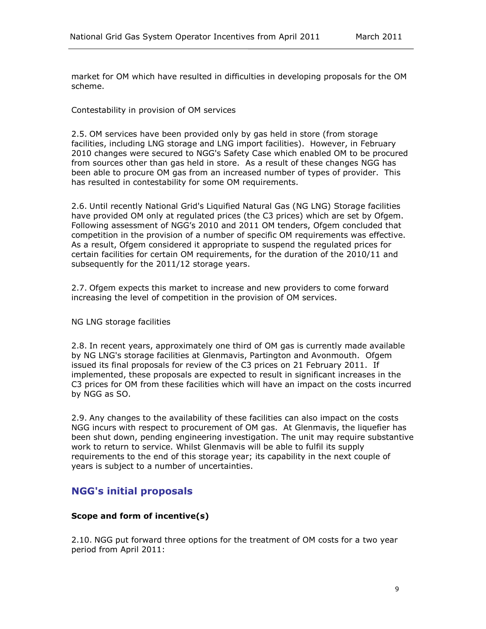market for OM which have resulted in difficulties in developing proposals for the OM scheme.

Contestability in provision of OM services

2.5. OM services have been provided only by gas held in store (from storage facilities, including LNG storage and LNG import facilities). However, in February 2010 changes were secured to NGG's Safety Case which enabled OM to be procured from sources other than gas held in store. As a result of these changes NGG has been able to procure OM gas from an increased number of types of provider. This has resulted in contestability for some OM requirements.

2.6. Until recently National Grid's Liquified Natural Gas (NG LNG) Storage facilities have provided OM only at regulated prices (the C3 prices) which are set by Ofgem. Following assessment of NGG's 2010 and 2011 OM tenders, Ofgem concluded that competition in the provision of a number of specific OM requirements was effective. As a result, Ofgem considered it appropriate to suspend the regulated prices for certain facilities for certain OM requirements, for the duration of the 2010/11 and subsequently for the 2011/12 storage years.

2.7. Ofgem expects this market to increase and new providers to come forward increasing the level of competition in the provision of OM services.

#### NG LNG storage facilities

2.8. In recent years, approximately one third of OM gas is currently made available by NG LNG's storage facilities at Glenmavis, Partington and Avonmouth. Ofgem issued its final proposals for review of the C3 prices on 21 February 2011. If implemented, these proposals are expected to result in significant increases in the C3 prices for OM from these facilities which will have an impact on the costs incurred by NGG as SO.

2.9. Any changes to the availability of these facilities can also impact on the costs NGG incurs with respect to procurement of OM gas. At Glenmavis, the liquefier has been shut down, pending engineering investigation. The unit may require substantive work to return to service. Whilst Glenmavis will be able to fulfil its supply requirements to the end of this storage year; its capability in the next couple of years is subject to a number of uncertainties.

### <span id="page-12-0"></span>**NGG's initial proposals**

### <span id="page-12-1"></span>**Scope and form of incentive(s)**

2.10. NGG put forward three options for the treatment of OM costs for a two year period from April 2011: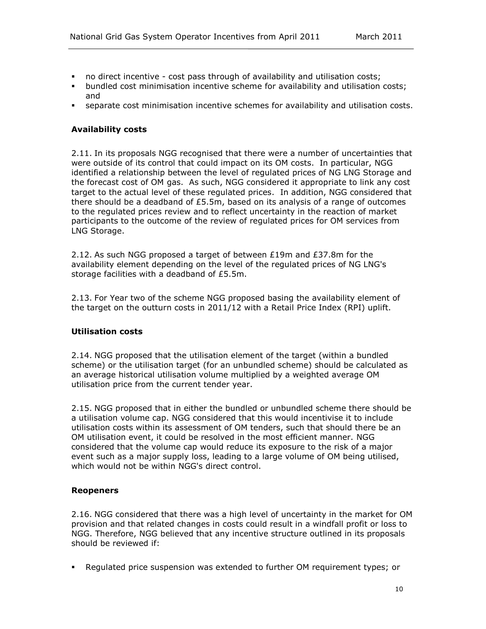- no direct incentive cost pass through of availability and utilisation costs;
- bundled cost minimisation incentive scheme for availability and utilisation costs; and
- separate cost minimisation incentive schemes for availability and utilisation costs.

### <span id="page-13-0"></span>**Availability costs**

2.11. In its proposals NGG recognised that there were a number of uncertainties that were outside of its control that could impact on its OM costs. In particular, NGG identified a relationship between the level of regulated prices of NG LNG Storage and the forecast cost of OM gas. As such, NGG considered it appropriate to link any cost target to the actual level of these regulated prices. In addition, NGG considered that there should be a deadband of  $£5.5m$ , based on its analysis of a range of outcomes to the regulated prices review and to reflect uncertainty in the reaction of market participants to the outcome of the review of regulated prices for OM services from LNG Storage.

2.12. As such NGG proposed a target of between  $£19m$  and  $£37.8m$  for the availability element depending on the level of the regulated prices of NG LNG's storage facilities with a deadband of £5.5m.

2.13. For Year two of the scheme NGG proposed basing the availability element of the target on the outturn costs in 2011/12 with a Retail Price Index (RPI) uplift.

#### <span id="page-13-1"></span>**Utilisation costs**

2.14. NGG proposed that the utilisation element of the target (within a bundled scheme) or the utilisation target (for an unbundled scheme) should be calculated as an average historical utilisation volume multiplied by a weighted average OM utilisation price from the current tender year.

2.15. NGG proposed that in either the bundled or unbundled scheme there should be a utilisation volume cap. NGG considered that this would incentivise it to include utilisation costs within its assessment of OM tenders, such that should there be an OM utilisation event, it could be resolved in the most efficient manner. NGG considered that the volume cap would reduce its exposure to the risk of a major event such as a major supply loss, leading to a large volume of OM being utilised, which would not be within NGG's direct control.

#### <span id="page-13-2"></span>**Reopeners**

2.16. NGG considered that there was a high level of uncertainty in the market for OM provision and that related changes in costs could result in a windfall profit or loss to NGG. Therefore, NGG believed that any incentive structure outlined in its proposals should be reviewed if:

Regulated price suspension was extended to further OM requirement types; or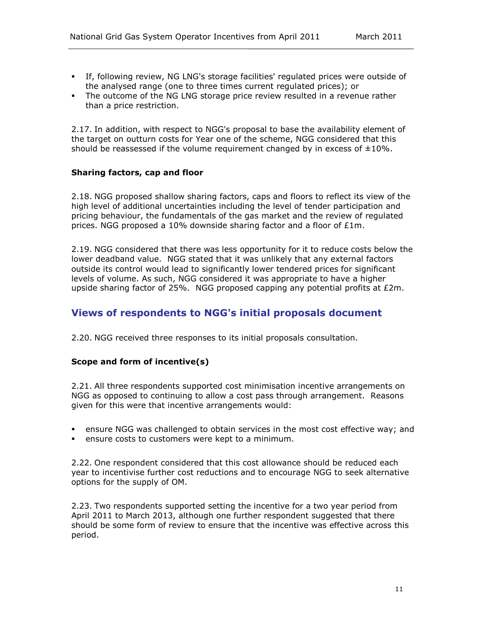- If, following review, NG LNG's storage facilities' regulated prices were outside of the analysed range (one to three times current regulated prices); or
- The outcome of the NG LNG storage price review resulted in a revenue rather than a price restriction.

2.17. In addition, with respect to NGG's proposal to base the availability element of the target on outturn costs for Year one of the scheme, NGG considered that this should be reassessed if the volume requirement changed by in excess of  $\pm 10\%$ .

### <span id="page-14-0"></span>**Sharing factors, cap and floor**

2.18. NGG proposed shallow sharing factors, caps and floors to reflect its view of the high level of additional uncertainties including the level of tender participation and pricing behaviour, the fundamentals of the gas market and the review of regulated prices. NGG proposed a 10% downside sharing factor and a floor of £1m.

2.19. NGG considered that there was less opportunity for it to reduce costs below the lower deadband value. NGG stated that it was unlikely that any external factors outside its control would lead to significantly lower tendered prices for significant levels of volume. As such, NGG considered it was appropriate to have a higher upside sharing factor of 25%. NGG proposed capping any potential profits at  $E2m$ .

### <span id="page-14-1"></span>**Views of respondents to NGG's initial proposals document**

2.20. NGG received three responses to its initial proposals consultation.

### <span id="page-14-2"></span>**Scope and form of incentive(s)**

2.21. All three respondents supported cost minimisation incentive arrangements on NGG as opposed to continuing to allow a cost pass through arrangement. Reasons given for this were that incentive arrangements would:

- ensure NGG was challenged to obtain services in the most cost effective way; and
- ensure costs to customers were kept to a minimum.

2.22. One respondent considered that this cost allowance should be reduced each year to incentivise further cost reductions and to encourage NGG to seek alternative options for the supply of OM.

2.23. Two respondents supported setting the incentive for a two year period from April 2011 to March 2013, although one further respondent suggested that there should be some form of review to ensure that the incentive was effective across this period.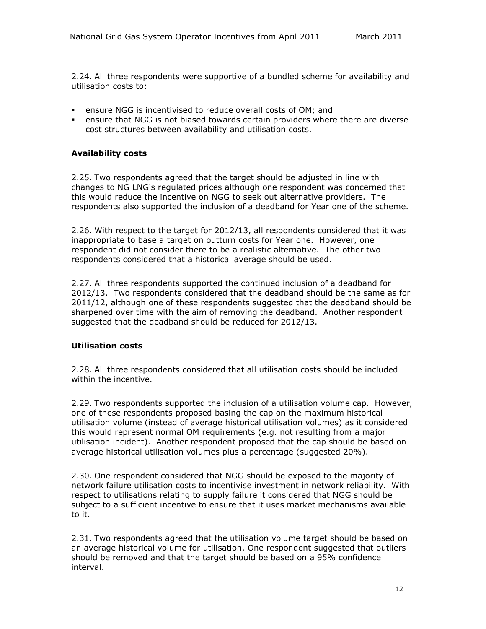2.24. All three respondents were supportive of a bundled scheme for availability and utilisation costs to:

- ensure NGG is incentivised to reduce overall costs of OM; and
- ensure that NGG is not biased towards certain providers where there are diverse cost structures between availability and utilisation costs.

### <span id="page-15-0"></span>**Availability costs**

2.25. Two respondents agreed that the target should be adjusted in line with changes to NG LNG's regulated prices although one respondent was concerned that this would reduce the incentive on NGG to seek out alternative providers. The respondents also supported the inclusion of a deadband for Year one of the scheme.

2.26. With respect to the target for 2012/13, all respondents considered that it was inappropriate to base a target on outturn costs for Year one. However, one respondent did not consider there to be a realistic alternative. The other two respondents considered that a historical average should be used.

2.27. All three respondents supported the continued inclusion of a deadband for 2012/13. Two respondents considered that the deadband should be the same as for 2011/12, although one of these respondents suggested that the deadband should be sharpened over time with the aim of removing the deadband. Another respondent suggested that the deadband should be reduced for 2012/13.

### <span id="page-15-1"></span>**Utilisation costs**

2.28. All three respondents considered that all utilisation costs should be included within the incentive.

2.29. Two respondents supported the inclusion of a utilisation volume cap. However, one of these respondents proposed basing the cap on the maximum historical utilisation volume (instead of average historical utilisation volumes) as it considered this would represent normal OM requirements (e.g. not resulting from a major utilisation incident). Another respondent proposed that the cap should be based on average historical utilisation volumes plus a percentage (suggested 20%).

2.30. One respondent considered that NGG should be exposed to the majority of network failure utilisation costs to incentivise investment in network reliability. With respect to utilisations relating to supply failure it considered that NGG should be subject to a sufficient incentive to ensure that it uses market mechanisms available to it.

2.31. Two respondents agreed that the utilisation volume target should be based on an average historical volume for utilisation. One respondent suggested that outliers should be removed and that the target should be based on a 95% confidence interval.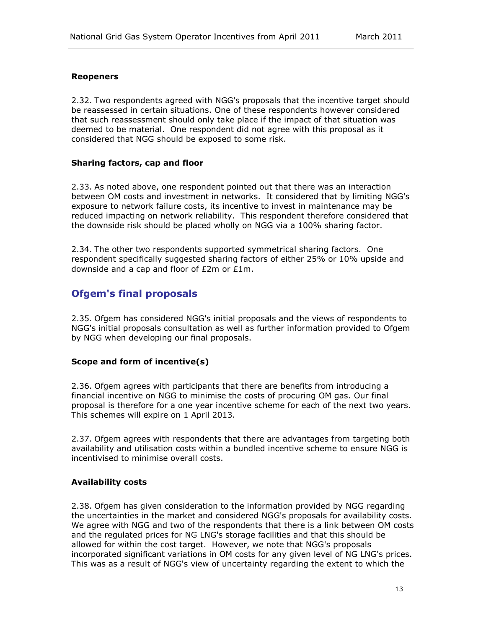### <span id="page-16-0"></span>**Reopeners**

2.32. Two respondents agreed with NGG's proposals that the incentive target should be reassessed in certain situations. One of these respondents however considered that such reassessment should only take place if the impact of that situation was deemed to be material. One respondent did not agree with this proposal as it considered that NGG should be exposed to some risk.

### <span id="page-16-1"></span>**Sharing factors, cap and floor**

2.33. As noted above, one respondent pointed out that there was an interaction between OM costs and investment in networks. It considered that by limiting NGG's exposure to network failure costs, its incentive to invest in maintenance may be reduced impacting on network reliability. This respondent therefore considered that the downside risk should be placed wholly on NGG via a 100% sharing factor.

2.34. The other two respondents supported symmetrical sharing factors. One respondent specifically suggested sharing factors of either 25% or 10% upside and downside and a cap and floor of £2m or £1m.

### <span id="page-16-2"></span>**Ofgem's final proposals**

2.35. Ofgem has considered NGG's initial proposals and the views of respondents to NGG's initial proposals consultation as well as further information provided to Ofgem by NGG when developing our final proposals.

### <span id="page-16-3"></span>**Scope and form of incentive(s)**

2.36. Ofgem agrees with participants that there are benefits from introducing a financial incentive on NGG to minimise the costs of procuring OM gas. Our final proposal is therefore for a one year incentive scheme for each of the next two years. This schemes will expire on 1 April 2013.

2.37. Ofgem agrees with respondents that there are advantages from targeting both availability and utilisation costs within a bundled incentive scheme to ensure NGG is incentivised to minimise overall costs.

### <span id="page-16-4"></span>**Availability costs**

2.38. Ofgem has given consideration to the information provided by NGG regarding the uncertainties in the market and considered NGG's proposals for availability costs. We agree with NGG and two of the respondents that there is a link between OM costs and the regulated prices for NG LNG's storage facilities and that this should be allowed for within the cost target. However, we note that NGG's proposals incorporated significant variations in OM costs for any given level of NG LNG's prices. This was as a result of NGG's view of uncertainty regarding the extent to which the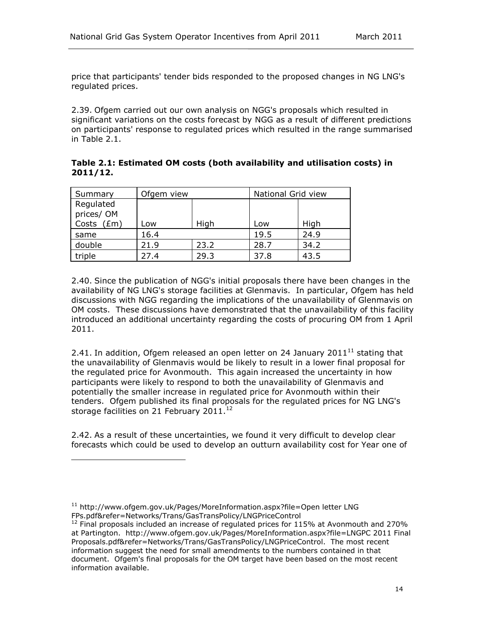price that participants' tender bids responded to the proposed changes in NG LNG's regulated prices.

2.39. Ofgem carried out our own analysis on NGG's proposals which resulted in significant variations on the costs forecast by NGG as a result of different predictions on participants' response to regulated prices which resulted in the range summarised in Table 2.1.

**Table 2.1: Estimated OM costs (both availability and utilisation costs) in 2011/12.**

| Summary                              | Ofgem view |      | National Grid view |      |
|--------------------------------------|------------|------|--------------------|------|
| Regulated<br>prices/OM<br>Costs (£m) | Low        | High | Low                | High |
| same                                 | 16.4       |      | 19.5               | 24.9 |
| double                               | 21.9       | 23.2 | 28.7               | 34.2 |
| triple                               | 27.4       | 29.3 | 37.8               | 43.5 |

2.40. Since the publication of NGG's initial proposals there have been changes in the availability of NG LNG's storage facilities at Glenmavis. In particular, Ofgem has held discussions with NGG regarding the implications of the unavailability of Glenmavis on OM costs. These discussions have demonstrated that the unavailability of this facility introduced an additional uncertainty regarding the costs of procuring OM from 1 April 2011.

2.41. In addition, Ofgem released an open letter on 24 January 2011 $^{11}$  stating that the unavailability of Glenmavis would be likely to result in a lower final proposal for the regulated price for Avonmouth. This again increased the uncertainty in how participants were likely to respond to both the unavailability of Glenmavis and potentially the smaller increase in regulated price for Avonmouth within their tenders. Ofgem published its final proposals for the regulated prices for NG LNG's storage facilities on 21 February 2011. $12$ 

2.42. As a result of these uncertainties, we found it very difficult to develop clear forecasts which could be used to develop an outturn availability cost for Year one of

j.

<sup>&</sup>lt;sup>11</sup> http://www.ofgem.gov.uk/Pages/MoreInformation.aspx?file=Open letter LNG FPs.pdf&refer=Networks/Trans/GasTransPolicy/LNGPriceControl

 $12$  Final proposals included an increase of regulated prices for 115% at Avonmouth and 270% at Partington. http://www.ofgem.gov.uk/Pages/MoreInformation.aspx?file=LNGPC 2011 Final Proposals.pdf&refer=Networks/Trans/GasTransPolicy/LNGPriceControl. The most recent information suggest the need for small amendments to the numbers contained in that document. Ofgem's final proposals for the OM target have been based on the most recent information available.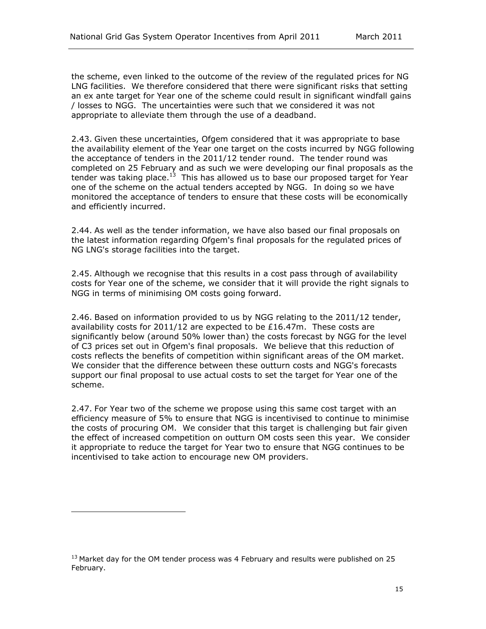the scheme, even linked to the outcome of the review of the regulated prices for NG LNG facilities. We therefore considered that there were significant risks that setting an ex ante target for Year one of the scheme could result in significant windfall gains / losses to NGG. The uncertainties were such that we considered it was not appropriate to alleviate them through the use of a deadband.

2.43. Given these uncertainties, Ofgem considered that it was appropriate to base the availability element of the Year one target on the costs incurred by NGG following the acceptance of tenders in the 2011/12 tender round. The tender round was completed on 25 February and as such we were developing our final proposals as the tender was taking place.<sup>13</sup> This has allowed us to base our proposed target for Year one of the scheme on the actual tenders accepted by NGG. In doing so we have monitored the acceptance of tenders to ensure that these costs will be economically and efficiently incurred.

2.44. As well as the tender information, we have also based our final proposals on the latest information regarding Ofgem's final proposals for the regulated prices of NG LNG's storage facilities into the target.

2.45. Although we recognise that this results in a cost pass through of availability costs for Year one of the scheme, we consider that it will provide the right signals to NGG in terms of minimising OM costs going forward.

2.46. Based on information provided to us by NGG relating to the 2011/12 tender, availability costs for  $2011/12$  are expected to be £16.47m. These costs are significantly below (around 50% lower than) the costs forecast by NGG for the level of C3 prices set out in Ofgem's final proposals. We believe that this reduction of costs reflects the benefits of competition within significant areas of the OM market. We consider that the difference between these outturn costs and NGG's forecasts support our final proposal to use actual costs to set the target for Year one of the scheme.

2.47. For Year two of the scheme we propose using this same cost target with an efficiency measure of 5% to ensure that NGG is incentivised to continue to minimise the costs of procuring OM. We consider that this target is challenging but fair given the effect of increased competition on outturn OM costs seen this year. We consider it appropriate to reduce the target for Year two to ensure that NGG continues to be incentivised to take action to encourage new OM providers.

ł

 $13$  Market day for the OM tender process was 4 February and results were published on 25 February.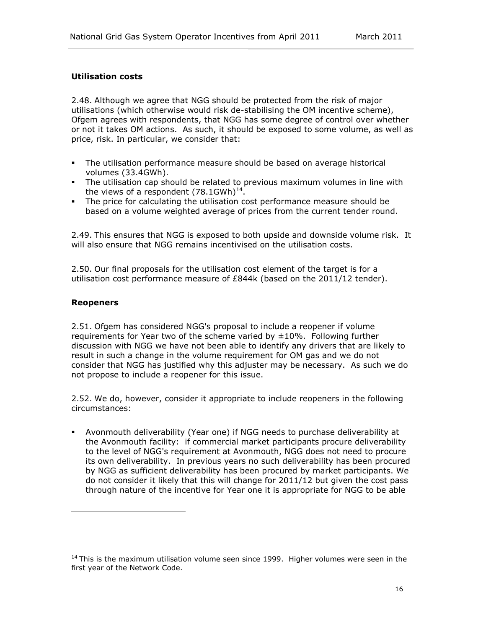### <span id="page-19-0"></span>**Utilisation costs**

2.48. Although we agree that NGG should be protected from the risk of major utilisations (which otherwise would risk de-stabilising the OM incentive scheme), Ofgem agrees with respondents, that NGG has some degree of control over whether or not it takes OM actions. As such, it should be exposed to some volume, as well as price, risk. In particular, we consider that:

- The utilisation performance measure should be based on average historical volumes (33.4GWh).
- The utilisation cap should be related to previous maximum volumes in line with the views of a respondent  $(78.1$ GWh $)^{14}$ .
- The price for calculating the utilisation cost performance measure should be based on a volume weighted average of prices from the current tender round.

2.49. This ensures that NGG is exposed to both upside and downside volume risk. It will also ensure that NGG remains incentivised on the utilisation costs.

2.50. Our final proposals for the utilisation cost element of the target is for a utilisation cost performance measure of £844k (based on the 2011/12 tender).

### <span id="page-19-1"></span>**Reopeners**

ł

2.51. Ofgem has considered NGG's proposal to include a reopener if volume requirements for Year two of the scheme varied by  $\pm 10\%$ . Following further discussion with NGG we have not been able to identify any drivers that are likely to result in such a change in the volume requirement for OM gas and we do not consider that NGG has justified why this adjuster may be necessary. As such we do not propose to include a reopener for this issue.

2.52. We do, however, consider it appropriate to include reopeners in the following circumstances:

 Avonmouth deliverability (Year one) if NGG needs to purchase deliverability at the Avonmouth facility: if commercial market participants procure deliverability to the level of NGG's requirement at Avonmouth, NGG does not need to procure its own deliverability. In previous years no such deliverability has been procured by NGG as sufficient deliverability has been procured by market participants. We do not consider it likely that this will change for 2011/12 but given the cost pass through nature of the incentive for Year one it is appropriate for NGG to be able

 $14$  This is the maximum utilisation volume seen since 1999. Higher volumes were seen in the first year of the Network Code.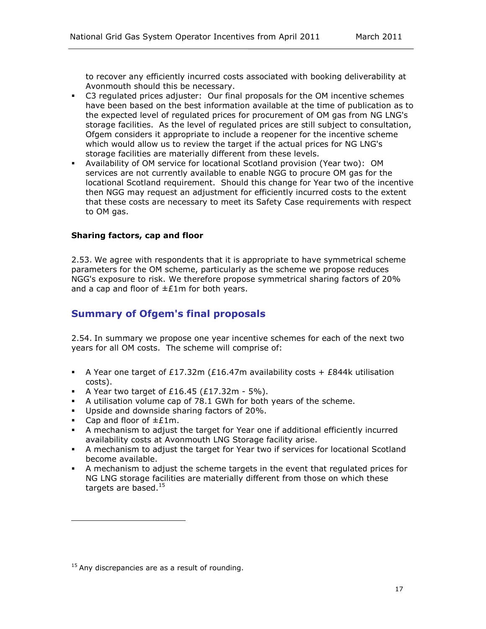to recover any efficiently incurred costs associated with booking deliverability at Avonmouth should this be necessary.

- C3 regulated prices adjuster: Our final proposals for the OM incentive schemes have been based on the best information available at the time of publication as to the expected level of regulated prices for procurement of OM gas from NG LNG's storage facilities. As the level of regulated prices are still subject to consultation, Ofgem considers it appropriate to include a reopener for the incentive scheme which would allow us to review the target if the actual prices for NG LNG's storage facilities are materially different from these levels.
- Availability of OM service for locational Scotland provision (Year two): OM services are not currently available to enable NGG to procure OM gas for the locational Scotland requirement. Should this change for Year two of the incentive then NGG may request an adjustment for efficiently incurred costs to the extent that these costs are necessary to meet its Safety Case requirements with respect to OM gas.

### <span id="page-20-0"></span>**Sharing factors, cap and floor**

2.53. We agree with respondents that it is appropriate to have symmetrical scheme parameters for the OM scheme, particularly as the scheme we propose reduces NGG's exposure to risk. We therefore propose symmetrical sharing factors of 20% and a cap and floor of  $\pm \text{f1m}$  for both years.

### <span id="page-20-1"></span>**Summary of Ofgem's final proposals**

2.54. In summary we propose one year incentive schemes for each of the next two years for all OM costs. The scheme will comprise of:

- A Year one target of £17.32m (£16.47m availability costs + £844k utilisation costs).
- A Year two target of  $£16.45$  ( $£17.32$ m 5%).
- A utilisation volume cap of 78.1 GWh for both years of the scheme.
- **Upside and downside sharing factors of 20%.**
- Cap and floor of  $\pm \text{f1m}$ .

ł

- A mechanism to adjust the target for Year one if additional efficiently incurred availability costs at Avonmouth LNG Storage facility arise.
- A mechanism to adjust the target for Year two if services for locational Scotland become available.
- A mechanism to adjust the scheme targets in the event that regulated prices for NG LNG storage facilities are materially different from those on which these targets are based. $15$

 $15$  Any discrepancies are as a result of rounding.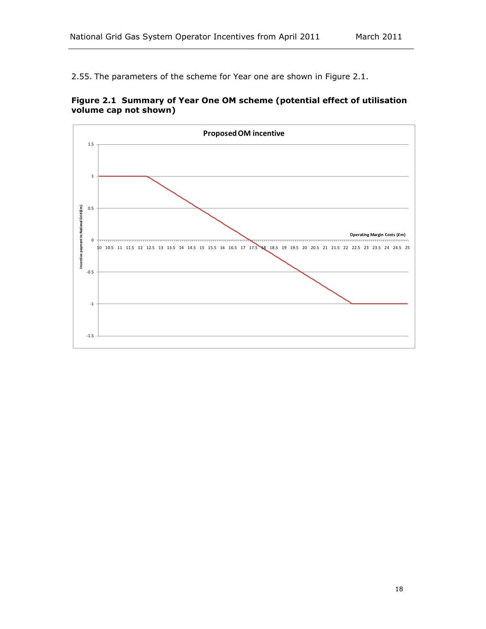2.55. The parameters of the scheme for Year one are shown in Figure 2.1.



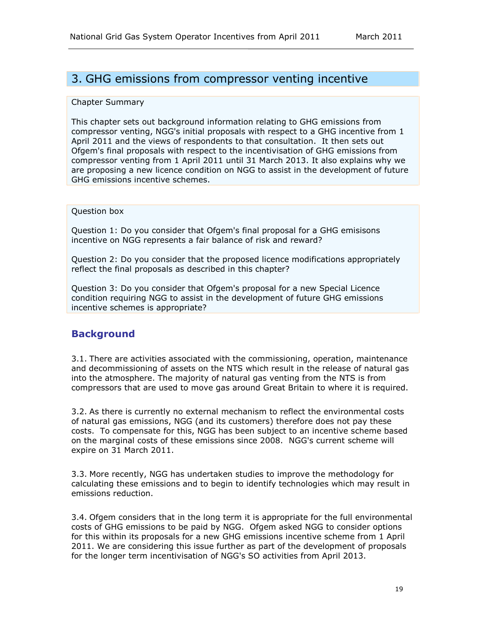## <span id="page-22-0"></span>3. GHG emissions from compressor venting incentive

#### Chapter Summary

This chapter sets out background information relating to GHG emissions from compressor venting, NGG's initial proposals with respect to a GHG incentive from 1 April 2011 and the views of respondents to that consultation. It then sets out Ofgem's final proposals with respect to the incentivisation of GHG emissions from compressor venting from 1 April 2011 until 31 March 2013. It also explains why we are proposing a new licence condition on NGG to assist in the development of future GHG emissions incentive schemes.

#### Question box

Question 1: Do you consider that Ofgem's final proposal for a GHG emisisons incentive on NGG represents a fair balance of risk and reward?

Question 2: Do you consider that the proposed licence modifications appropriately reflect the final proposals as described in this chapter?

Question 3: Do you consider that Ofgem's proposal for a new Special Licence condition requiring NGG to assist in the development of future GHG emissions incentive schemes is appropriate?

### <span id="page-22-1"></span>**Background**

3.1. There are activities associated with the commissioning, operation, maintenance and decommissioning of assets on the NTS which result in the release of natural gas into the atmosphere. The majority of natural gas venting from the NTS is from compressors that are used to move gas around Great Britain to where it is required.

3.2. As there is currently no external mechanism to reflect the environmental costs of natural gas emissions, NGG (and its customers) therefore does not pay these costs. To compensate for this, NGG has been subject to an incentive scheme based on the marginal costs of these emissions since 2008. NGG's current scheme will expire on 31 March 2011.

3.3. More recently, NGG has undertaken studies to improve the methodology for calculating these emissions and to begin to identify technologies which may result in emissions reduction.

3.4. Ofgem considers that in the long term it is appropriate for the full environmental costs of GHG emissions to be paid by NGG. Ofgem asked NGG to consider options for this within its proposals for a new GHG emissions incentive scheme from 1 April 2011. We are considering this issue further as part of the development of proposals for the longer term incentivisation of NGG's SO activities from April 2013.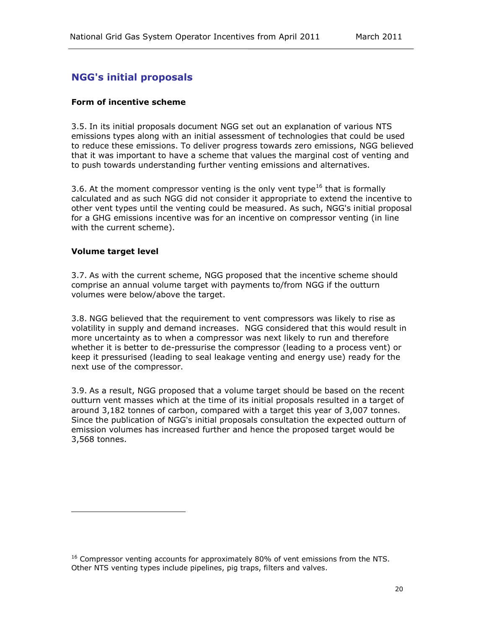### <span id="page-23-0"></span>**NGG's initial proposals**

### <span id="page-23-1"></span>**Form of incentive scheme**

3.5. In its initial proposals document NGG set out an explanation of various NTS emissions types along with an initial assessment of technologies that could be used to reduce these emissions. To deliver progress towards zero emissions, NGG believed that it was important to have a scheme that values the marginal cost of venting and to push towards understanding further venting emissions and alternatives.

3.6. At the moment compressor venting is the only vent type<sup>16</sup> that is formally calculated and as such NGG did not consider it appropriate to extend the incentive to other vent types until the venting could be measured. As such, NGG's initial proposal for a GHG emissions incentive was for an incentive on compressor venting (in line with the current scheme).

### <span id="page-23-2"></span>**Volume target level**

ł

3.7. As with the current scheme, NGG proposed that the incentive scheme should comprise an annual volume target with payments to/from NGG if the outturn volumes were below/above the target.

3.8. NGG believed that the requirement to vent compressors was likely to rise as volatility in supply and demand increases. NGG considered that this would result in more uncertainty as to when a compressor was next likely to run and therefore whether it is better to de-pressurise the compressor (leading to a process vent) or keep it pressurised (leading to seal leakage venting and energy use) ready for the next use of the compressor.

3.9. As a result, NGG proposed that a volume target should be based on the recent outturn vent masses which at the time of its initial proposals resulted in a target of around 3,182 tonnes of carbon, compared with a target this year of 3,007 tonnes. Since the publication of NGG's initial proposals consultation the expected outturn of emission volumes has increased further and hence the proposed target would be 3,568 tonnes.

 $16$  Compressor venting accounts for approximately 80% of vent emissions from the NTS. Other NTS venting types include pipelines, pig traps, filters and valves.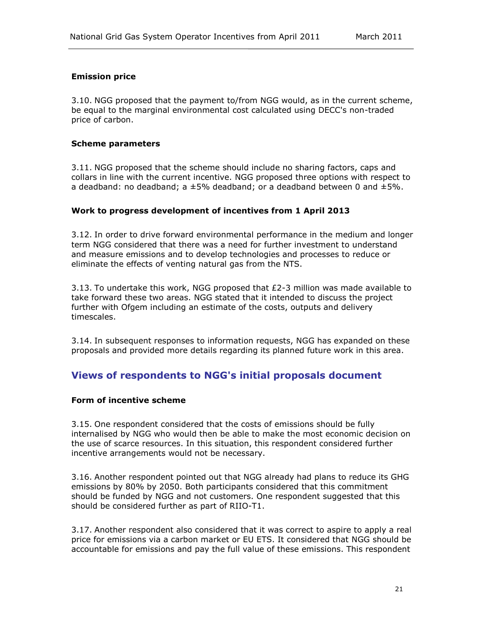### <span id="page-24-0"></span>**Emission price**

3.10. NGG proposed that the payment to/from NGG would, as in the current scheme, be equal to the marginal environmental cost calculated using DECC's non-traded price of carbon.

### <span id="page-24-1"></span>**Scheme parameters**

3.11. NGG proposed that the scheme should include no sharing factors, caps and collars in line with the current incentive. NGG proposed three options with respect to a deadband: no deadband; a  $\pm 5\%$  deadband; or a deadband between 0 and  $\pm 5\%$ .

### <span id="page-24-2"></span>**Work to progress development of incentives from 1 April 2013**

3.12. In order to drive forward environmental performance in the medium and longer term NGG considered that there was a need for further investment to understand and measure emissions and to develop technologies and processes to reduce or eliminate the effects of venting natural gas from the NTS.

3.13. To undertake this work, NGG proposed that £2-3 million was made available to take forward these two areas. NGG stated that it intended to discuss the project further with Ofgem including an estimate of the costs, outputs and delivery timescales.

3.14. In subsequent responses to information requests, NGG has expanded on these proposals and provided more details regarding its planned future work in this area.

### <span id="page-24-3"></span>**Views of respondents to NGG's initial proposals document**

### <span id="page-24-4"></span>**Form of incentive scheme**

3.15. One respondent considered that the costs of emissions should be fully internalised by NGG who would then be able to make the most economic decision on the use of scarce resources. In this situation, this respondent considered further incentive arrangements would not be necessary.

3.16. Another respondent pointed out that NGG already had plans to reduce its GHG emissions by 80% by 2050. Both participants considered that this commitment should be funded by NGG and not customers. One respondent suggested that this should be considered further as part of RIIO-T1.

3.17. Another respondent also considered that it was correct to aspire to apply a real price for emissions via a carbon market or EU ETS. It considered that NGG should be accountable for emissions and pay the full value of these emissions. This respondent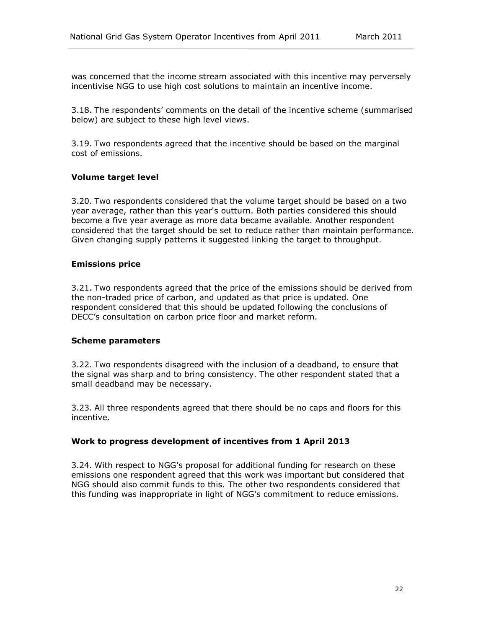was concerned that the income stream associated with this incentive may perversely incentivise NGG to use high cost solutions to maintain an incentive income.

3.18. The respondents' comments on the detail of the incentive scheme (summarised below) are subject to these high level views.

3.19. Two respondents agreed that the incentive should be based on the marginal cost of emissions.

#### <span id="page-25-0"></span>**Volume target level**

3.20. Two respondents considered that the volume target should be based on a two year average, rather than this year's outturn. Both parties considered this should become a five year average as more data became available. Another respondent considered that the target should be set to reduce rather than maintain performance. Given changing supply patterns it suggested linking the target to throughput.

#### <span id="page-25-1"></span>**Emissions price**

3.21. Two respondents agreed that the price of the emissions should be derived from the non-traded price of carbon, and updated as that price is updated. One respondent considered that this should be updated following the conclusions of DECC's consultation on carbon price floor and market reform.

#### <span id="page-25-2"></span>**Scheme parameters**

3.22. Two respondents disagreed with the inclusion of a deadband, to ensure that the signal was sharp and to bring consistency. The other respondent stated that a small deadband may be necessary.

3.23. All three respondents agreed that there should be no caps and floors for this incentive.

### <span id="page-25-3"></span>**Work to progress development of incentives from 1 April 2013**

3.24. With respect to NGG's proposal for additional funding for research on these emissions one respondent agreed that this work was important but considered that NGG should also commit funds to this. The other two respondents considered that this funding was inappropriate in light of NGG's commitment to reduce emissions.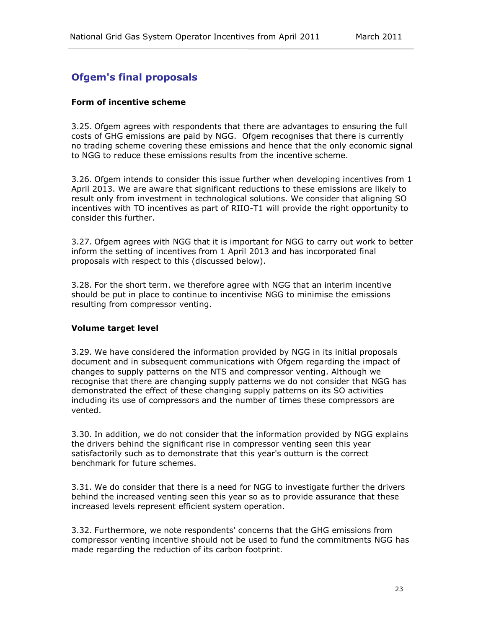### <span id="page-26-0"></span>**Ofgem's final proposals**

### <span id="page-26-1"></span>**Form of incentive scheme**

3.25. Ofgem agrees with respondents that there are advantages to ensuring the full costs of GHG emissions are paid by NGG. Ofgem recognises that there is currently no trading scheme covering these emissions and hence that the only economic signal to NGG to reduce these emissions results from the incentive scheme.

3.26. Ofgem intends to consider this issue further when developing incentives from 1 April 2013. We are aware that significant reductions to these emissions are likely to result only from investment in technological solutions. We consider that aligning SO incentives with TO incentives as part of RIIO-T1 will provide the right opportunity to consider this further.

3.27. Ofgem agrees with NGG that it is important for NGG to carry out work to better inform the setting of incentives from 1 April 2013 and has incorporated final proposals with respect to this (discussed below).

3.28. For the short term. we therefore agree with NGG that an interim incentive should be put in place to continue to incentivise NGG to minimise the emissions resulting from compressor venting.

### <span id="page-26-2"></span>**Volume target level**

3.29. We have considered the information provided by NGG in its initial proposals document and in subsequent communications with Ofgem regarding the impact of changes to supply patterns on the NTS and compressor venting. Although we recognise that there are changing supply patterns we do not consider that NGG has demonstrated the effect of these changing supply patterns on its SO activities including its use of compressors and the number of times these compressors are vented.

3.30. In addition, we do not consider that the information provided by NGG explains the drivers behind the significant rise in compressor venting seen this year satisfactorily such as to demonstrate that this year's outturn is the correct benchmark for future schemes.

3.31. We do consider that there is a need for NGG to investigate further the drivers behind the increased venting seen this year so as to provide assurance that these increased levels represent efficient system operation.

3.32. Furthermore, we note respondents' concerns that the GHG emissions from compressor venting incentive should not be used to fund the commitments NGG has made regarding the reduction of its carbon footprint.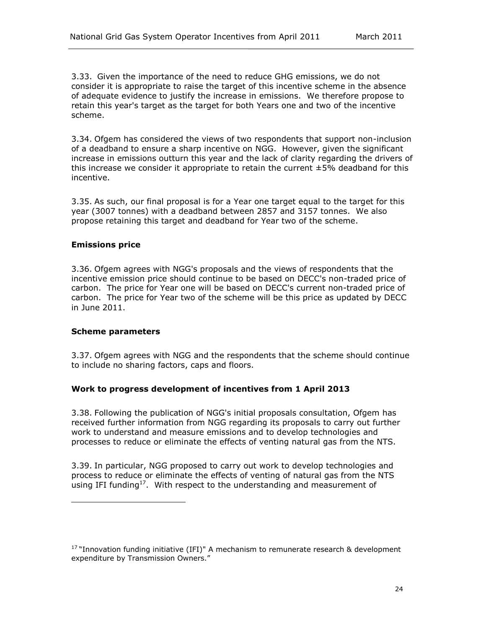3.33. Given the importance of the need to reduce GHG emissions, we do not consider it is appropriate to raise the target of this incentive scheme in the absence of adequate evidence to justify the increase in emissions. We therefore propose to retain this year's target as the target for both Years one and two of the incentive scheme.

3.34. Ofgem has considered the views of two respondents that support non-inclusion of a deadband to ensure a sharp incentive on NGG. However, given the significant increase in emissions outturn this year and the lack of clarity regarding the drivers of this increase we consider it appropriate to retain the current  $\pm$  5% deadband for this incentive.

3.35. As such, our final proposal is for a Year one target equal to the target for this year (3007 tonnes) with a deadband between 2857 and 3157 tonnes. We also propose retaining this target and deadband for Year two of the scheme.

### <span id="page-27-0"></span>**Emissions price**

3.36. Ofgem agrees with NGG's proposals and the views of respondents that the incentive emission price should continue to be based on DECC's non-traded price of carbon. The price for Year one will be based on DECC's current non-traded price of carbon. The price for Year two of the scheme will be this price as updated by DECC in June 2011.

#### <span id="page-27-1"></span>**Scheme parameters**

l

3.37. Ofgem agrees with NGG and the respondents that the scheme should continue to include no sharing factors, caps and floors.

### <span id="page-27-2"></span>**Work to progress development of incentives from 1 April 2013**

3.38. Following the publication of NGG's initial proposals consultation, Ofgem has received further information from NGG regarding its proposals to carry out further work to understand and measure emissions and to develop technologies and processes to reduce or eliminate the effects of venting natural gas from the NTS.

3.39. In particular, NGG proposed to carry out work to develop technologies and process to reduce or eliminate the effects of venting of natural gas from the NTS using IFI funding<sup>17</sup>. With respect to the understanding and measurement of

<sup>&</sup>lt;sup>17</sup> "Innovation funding initiative (IFI)" A mechanism to remunerate research & development expenditure by Transmission Owners."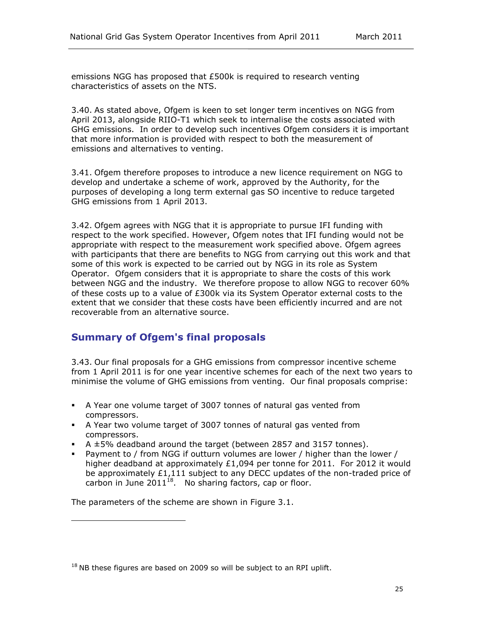emissions NGG has proposed that £500k is required to research venting characteristics of assets on the NTS.

3.40. As stated above, Ofgem is keen to set longer term incentives on NGG from April 2013, alongside RIIO-T1 which seek to internalise the costs associated with GHG emissions. In order to develop such incentives Ofgem considers it is important that more information is provided with respect to both the measurement of emissions and alternatives to venting.

3.41. Ofgem therefore proposes to introduce a new licence requirement on NGG to develop and undertake a scheme of work, approved by the Authority, for the purposes of developing a long term external gas SO incentive to reduce targeted GHG emissions from 1 April 2013.

3.42. Ofgem agrees with NGG that it is appropriate to pursue IFI funding with respect to the work specified. However, Ofgem notes that IFI funding would not be appropriate with respect to the measurement work specified above. Ofgem agrees with participants that there are benefits to NGG from carrying out this work and that some of this work is expected to be carried out by NGG in its role as System Operator. Ofgem considers that it is appropriate to share the costs of this work between NGG and the industry. We therefore propose to allow NGG to recover 60% of these costs up to a value of  $£300k$  via its System Operator external costs to the extent that we consider that these costs have been efficiently incurred and are not recoverable from an alternative source.

### <span id="page-28-0"></span>**Summary of Ofgem's final proposals**

3.43. Our final proposals for a GHG emissions from compressor incentive scheme from 1 April 2011 is for one year incentive schemes for each of the next two years to minimise the volume of GHG emissions from venting. Our final proposals comprise:

- A Year one volume target of 3007 tonnes of natural gas vented from compressors.
- A Year two volume target of 3007 tonnes of natural gas vented from compressors.
- $\blacktriangleright$  A  $\pm$ 5% deadband around the target (between 2857 and 3157 tonnes).
- Payment to / from NGG if outturn volumes are lower / higher than the lower / higher deadband at approximately  $£1,094$  per tonne for 2011. For 2012 it would be approximately £1,111 subject to any DECC updates of the non-traded price of carbon in June  $2011^{18}$ . No sharing factors, cap or floor.

The parameters of the scheme are shown in Figure 3.1.

ł

 $18$  NB these figures are based on 2009 so will be subject to an RPI uplift.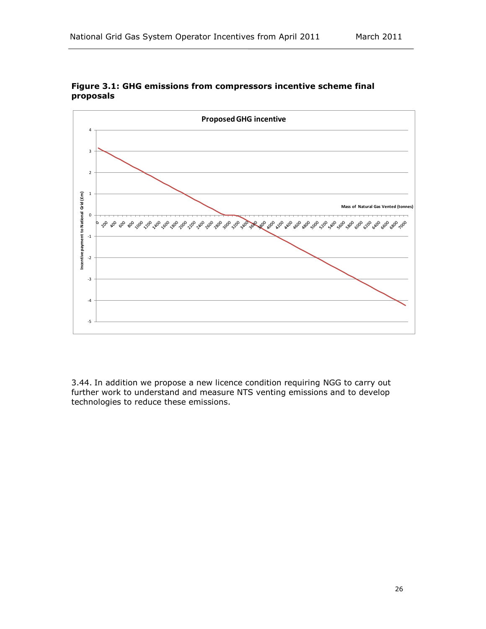



3.44. In addition we propose a new licence condition requiring NGG to carry out further work to understand and measure NTS venting emissions and to develop technologies to reduce these emissions.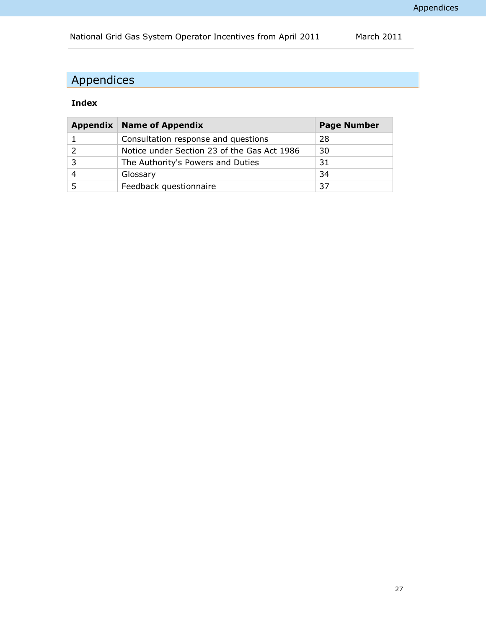# <span id="page-30-0"></span>Appendices

## **Index**

| Appendix | <b>Name of Appendix</b>                     | <b>Page Number</b> |
|----------|---------------------------------------------|--------------------|
|          | Consultation response and questions         | 28                 |
|          | Notice under Section 23 of the Gas Act 1986 | 30                 |
|          | The Authority's Powers and Duties           | 31                 |
|          | Glossary                                    | 34                 |
|          | Feedback questionnaire                      | 37                 |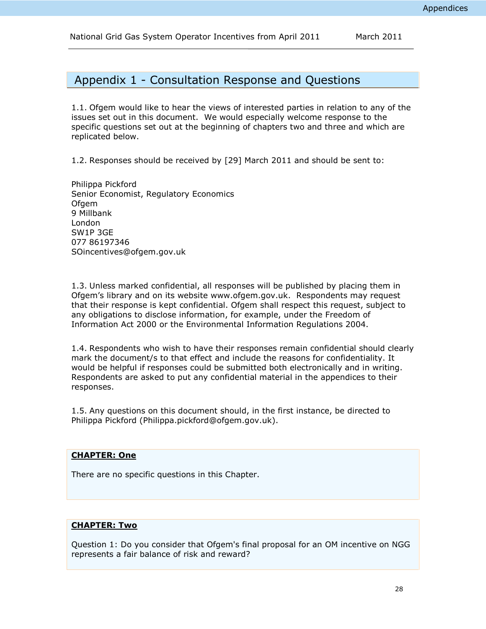National Grid Gas System Operator Incentives from April 2011 March 2011

<span id="page-31-0"></span>Appendix 1 - Consultation Response and Questions

1.1. Ofgem would like to hear the views of interested parties in relation to any of the issues set out in this document. We would especially welcome response to the specific questions set out at the beginning of chapters two and three and which are replicated below.

1.2. Responses should be received by [29] March 2011 and should be sent to:

Philippa Pickford Senior Economist, Regulatory Economics **Ofgem** 9 Millbank London SW1P 3GE 077 86197346 SOincentives@ofgem.gov.uk

1.3. Unless marked confidential, all responses will be published by placing them in Ofgem's library and on its website [www.ofgem.gov.uk.](http://www.ofgem.gov.uk/) Respondents may request that their response is kept confidential. Ofgem shall respect this request, subject to any obligations to disclose information, for example, under the Freedom of Information Act 2000 or the Environmental Information Regulations 2004.

1.4. Respondents who wish to have their responses remain confidential should clearly mark the document/s to that effect and include the reasons for confidentiality. It would be helpful if responses could be submitted both electronically and in writing. Respondents are asked to put any confidential material in the appendices to their responses.

1.5. Any questions on this document should, in the first instance, be directed to Philippa Pickford (Philippa.pickford@ofgem.gov.uk).

#### **CHAPTER: One**

There are no specific questions in this Chapter.

### **CHAPTER: Two**

Question 1: Do you consider that Ofgem's final proposal for an OM incentive on NGG represents a fair balance of risk and reward?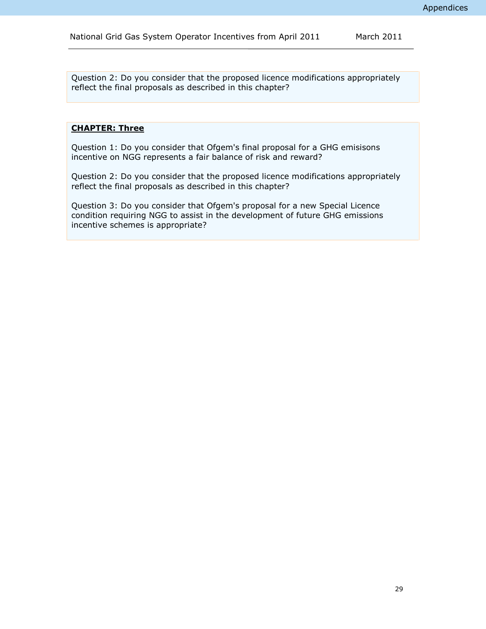Question 2: Do you consider that the proposed licence modifications appropriately reflect the final proposals as described in this chapter?

### **CHAPTER: Three**

Question 1: Do you consider that Ofgem's final proposal for a GHG emisisons incentive on NGG represents a fair balance of risk and reward?

Question 2: Do you consider that the proposed licence modifications appropriately reflect the final proposals as described in this chapter?

Question 3: Do you consider that Ofgem's proposal for a new Special Licence condition requiring NGG to assist in the development of future GHG emissions incentive schemes is appropriate?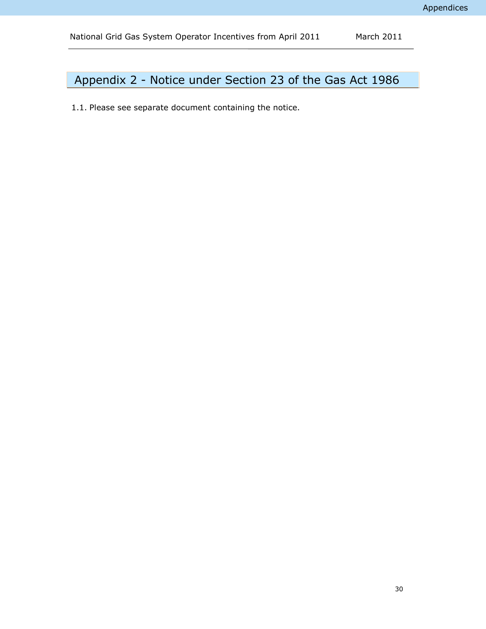# <span id="page-33-0"></span>Appendix 2 - Notice under Section 23 of the Gas Act 1986

1.1. Please see separate document containing the notice.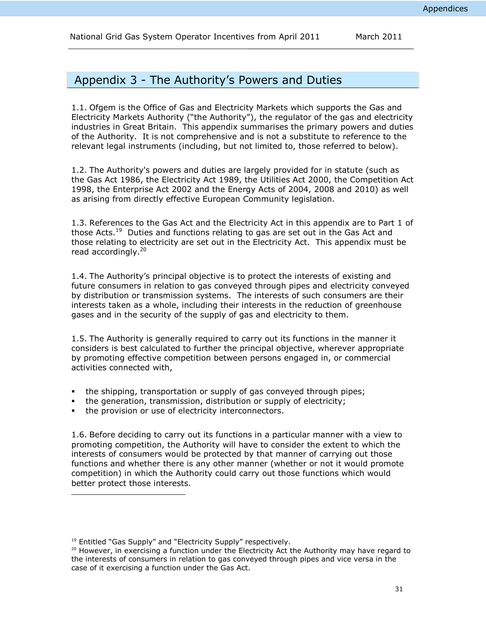# <span id="page-34-0"></span>Appendix 3 - The Authority's Powers and Duties

1.1. Ofgem is the Office of Gas and Electricity Markets which supports the Gas and Electricity Markets Authority ("the Authority"), the regulator of the gas and electricity industries in Great Britain. This appendix summarises the primary powers and duties of the Authority. It is not comprehensive and is not a substitute to reference to the relevant legal instruments (including, but not limited to, those referred to below).

1.2. The Authority's powers and duties are largely provided for in statute (such as the Gas Act 1986, the Electricity Act 1989, the Utilities Act 2000, the Competition Act 1998, the Enterprise Act 2002 and the Energy Acts of 2004, 2008 and 2010) as well as arising from directly effective European Community legislation.

1.3. References to the Gas Act and the Electricity Act in this appendix are to Part 1 of those Acts.<sup>19</sup> Duties and functions relating to gas are set out in the Gas Act and those relating to electricity are set out in the Electricity Act. This appendix must be read accordingly.<sup>20</sup>

1.4. The Authority's principal objective is to protect the interests of existing and future consumers in relation to gas conveyed through pipes and electricity conveyed by distribution or transmission systems. The interests of such consumers are their interests taken as a whole, including their interests in the reduction of greenhouse gases and in the security of the supply of gas and electricity to them.

1.5. The Authority is generally required to carry out its functions in the manner it considers is best calculated to further the principal objective, wherever appropriate by promoting effective competition between persons engaged in, or commercial activities connected with,

- the shipping, transportation or supply of gas conveyed through pipes;
- the generation, transmission, distribution or supply of electricity;
- **the provision or use of electricity interconnectors.**

1.6. Before deciding to carry out its functions in a particular manner with a view to promoting competition, the Authority will have to consider the extent to which the interests of consumers would be protected by that manner of carrying out those functions and whether there is any other manner (whether or not it would promote competition) in which the Authority could carry out those functions which would better protect those interests.

l

<sup>&</sup>lt;sup>19</sup> Entitled "Gas Supply" and "Electricity Supply" respectively.

<sup>&</sup>lt;sup>20</sup> However, in exercising a function under the Electricity Act the Authority may have regard to the interests of consumers in relation to gas conveyed through pipes and vice versa in the case of it exercising a function under the Gas Act.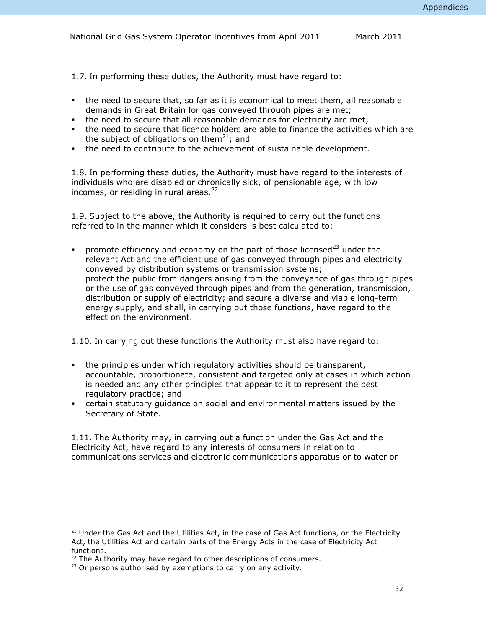National Grid Gas System Operator Incentives from April 2011 March 2011

1.7. In performing these duties, the Authority must have regard to:

- the need to secure that, so far as it is economical to meet them, all reasonable demands in Great Britain for gas conveyed through pipes are met;
- the need to secure that all reasonable demands for electricity are met;
- the need to secure that licence holders are able to finance the activities which are the subject of obligations on them<sup>21</sup>; and
- the need to contribute to the achievement of sustainable development.

1.8. In performing these duties, the Authority must have regard to the interests of individuals who are disabled or chronically sick, of pensionable age, with low incomes, or residing in rural areas. $^{22}$ 

1.9. Subject to the above, the Authority is required to carry out the functions referred to in the manner which it considers is best calculated to:

promote efficiency and economy on the part of those licensed $^{23}$  under the relevant Act and the efficient use of gas conveyed through pipes and electricity conveyed by distribution systems or transmission systems; protect the public from dangers arising from the conveyance of gas through pipes or the use of gas conveyed through pipes and from the generation, transmission, distribution or supply of electricity; and secure a diverse and viable long-term energy supply, and shall, in carrying out those functions, have regard to the effect on the environment.

1.10. In carrying out these functions the Authority must also have regard to:

- the principles under which regulatory activities should be transparent, accountable, proportionate, consistent and targeted only at cases in which action is needed and any other principles that appear to it to represent the best regulatory practice; and
- certain statutory guidance on social and environmental matters issued by the Secretary of State.

1.11. The Authority may, in carrying out a function under the Gas Act and the Electricity Act, have regard to any interests of consumers in relation to communications services and electronic communications apparatus or to water or

l

 $21$  Under the Gas Act and the Utilities Act, in the case of Gas Act functions, or the Electricity Act, the Utilities Act and certain parts of the Energy Acts in the case of Electricity Act functions.

 $22$  The Authority may have regard to other descriptions of consumers.

 $23$  Or persons authorised by exemptions to carry on any activity.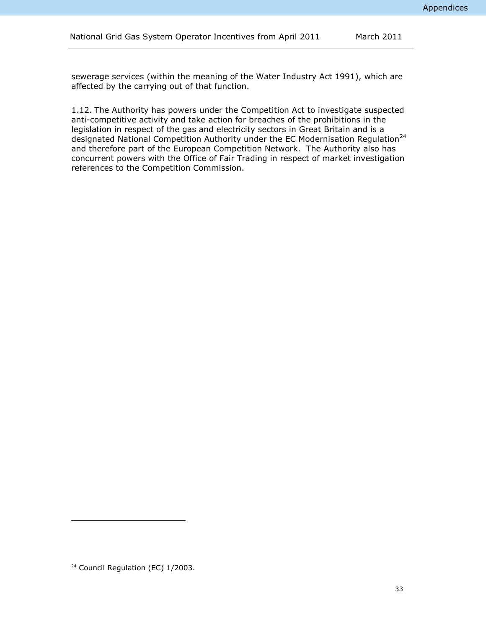sewerage services (within the meaning of the Water Industry Act 1991), which are affected by the carrying out of that function.

1.12. The Authority has powers under the Competition Act to investigate suspected anti-competitive activity and take action for breaches of the prohibitions in the legislation in respect of the gas and electricity sectors in Great Britain and is a designated National Competition Authority under the EC Modernisation Regulation<sup>24</sup> and therefore part of the European Competition Network. The Authority also has concurrent powers with the Office of Fair Trading in respect of market investigation references to the Competition Commission.

ł

<sup>&</sup>lt;sup>24</sup> Council Regulation (EC) 1/2003.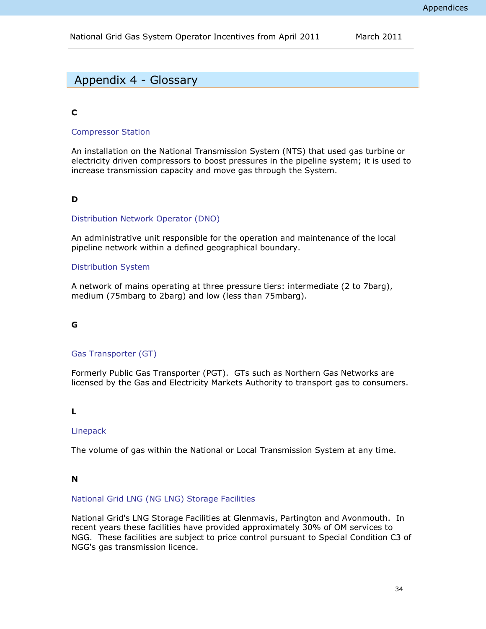# <span id="page-37-0"></span>Appendix 4 - Glossary

### **C**

### Compressor Station

An installation on the National Transmission System (NTS) that used gas turbine or electricity driven compressors to boost pressures in the pipeline system; it is used to increase transmission capacity and move gas through the System.

### **D**

### Distribution Network Operator (DNO)

An administrative unit responsible for the operation and maintenance of the local pipeline network within a defined geographical boundary.

### Distribution System

A network of mains operating at three pressure tiers: intermediate (2 to 7barg), medium (75mbarg to 2barg) and low (less than 75mbarg).

### **G**

### Gas Transporter (GT)

Formerly Public Gas Transporter (PGT). GTs such as Northern Gas Networks are licensed by the Gas and Electricity Markets Authority to transport gas to consumers.

### **L**

### Linepack

The volume of gas within the National or Local Transmission System at any time.

### **N**

### National Grid LNG (NG LNG) Storage Facilities

National Grid's LNG Storage Facilities at Glenmavis, Partington and Avonmouth. In recent years these facilities have provided approximately 30% of OM services to NGG. These facilities are subject to price control pursuant to Special Condition C3 of NGG's gas transmission licence.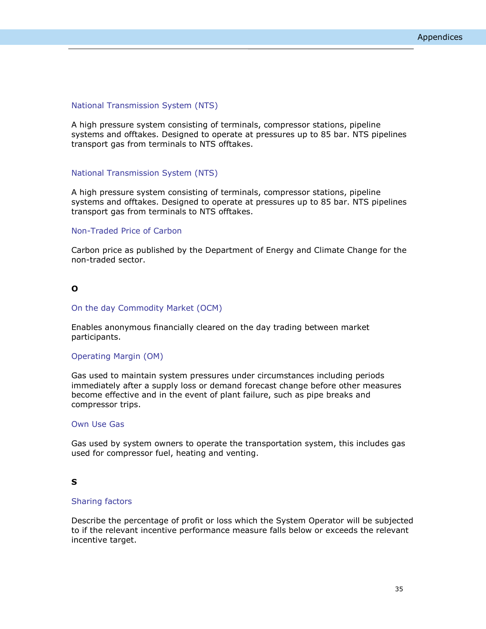### National Transmission System (NTS)

A high pressure system consisting of terminals, compressor stations, pipeline systems and offtakes. Designed to operate at pressures up to 85 bar. NTS pipelines transport gas from terminals to NTS offtakes.

### National Transmission System (NTS)

A high pressure system consisting of terminals, compressor stations, pipeline systems and offtakes. Designed to operate at pressures up to 85 bar. NTS pipelines transport gas from terminals to NTS offtakes.

### Non-Traded Price of Carbon

Carbon price as published by the Department of Energy and Climate Change for the non-traded sector.

### **O**

#### On the day Commodity Market (OCM)

Enables anonymous financially cleared on the day trading between market participants.

#### Operating Margin (OM)

Gas used to maintain system pressures under circumstances including periods immediately after a supply loss or demand forecast change before other measures become effective and in the event of plant failure, such as pipe breaks and compressor trips.

### Own Use Gas

Gas used by system owners to operate the transportation system, this includes gas used for compressor fuel, heating and venting.

#### **S**

#### Sharing factors

Describe the percentage of profit or loss which the System Operator will be subjected to if the relevant incentive performance measure falls below or exceeds the relevant incentive target.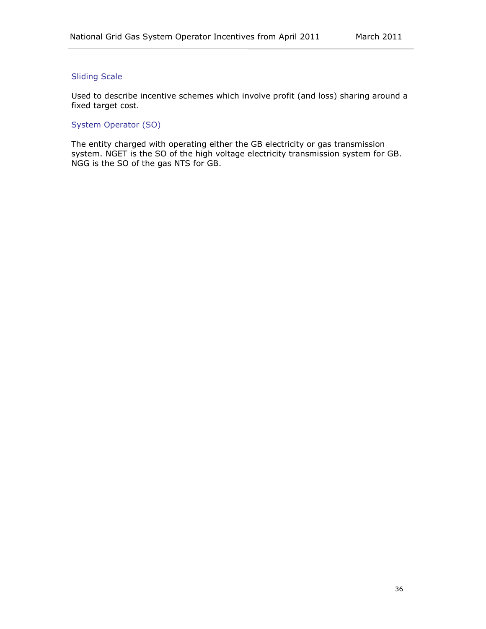### Sliding Scale

Used to describe incentive schemes which involve profit (and loss) sharing around a fixed target cost.

System Operator (SO)

The entity charged with operating either the GB electricity or gas transmission system. NGET is the SO of the high voltage electricity transmission system for GB. NGG is the SO of the gas NTS for GB.